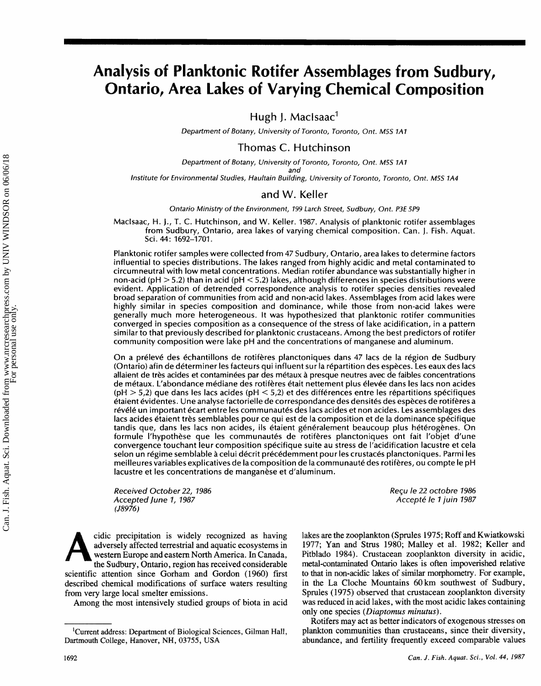# Analysis of Planktonic Rotifer Assemblages from Sudbury, **Ontario, Area Lakes of Varying Chemical Composition**

Hugh J. MacIsaac $<sup>1</sup>$ </sup>

Department of Botany, University of Toronto, Toronto, Ont. M5S **1A1** 

Thomas **C.** Hutchinson

Department of Botany, University of Toronto, Toronto, Ont. M5S 1A1 and

Institute for Environmental Studies, Haultain Building, University of Toronto, Toronto, Ont. M5S 1A4

## and W. Keller

Ontario Ministry of the Environment, 499 Larch Street, Sudbury, Ont. P3E 5P9

Maclsaac, H. **J., T.** C. Hutchinson, and W. Keller. 1987. Anaiysis of planktonic rotifer assemblages from Sudbury, Ontario, area lakes of varying chemical composition. Can. **j.** Fish. Aquat. Sci. 44: 1692-1701.

Planktonic rotifer samples were collected from 47 Sudbury, Ontario, area lakes to determine factors influential to species distributions. The lakes ranged from highly acidic and metal contaminated to circumneutral with low metal concentrations. Median rotifer abundance was substantially higher in non-acid ( $pH > 5.2$ ) than in acid ( $pH < 5.2$ ) lakes, although differences in species distributions were evident. Application of detrended correspondence analysis to rotifer species densities revealed broad separation of communities from acid and non-acid lakes. Assemblages from acid lakes were highly similar in species composition and dominance, while those from non-acid lakes were generally much more heterogeneous. It was hypothesized that planktonic rotifer communities converged in species composition as a consequence of the stress of lake acidification, in a pattern similar to that previously described for planktonic crustaceans. Among the best predictors of rotifer community composition were lake pH and the concentrations of manganese and aluminum.

On a prélevé des échantillons de rotifères planctoniques dans 47 lacs de la région de Sudbury (Ontario) afin de déterminer les facteurs qui influent sur la répartition des espèces. Les eaux des lacs allaient de tres acides et contaminees par des metaux a presque neutres avec de faibies concentrations de métaux. L'abondance médiane des rotifères était nettement plus élevée dans les lacs non acides (pH  $>$  5,2) que dans les lacs acides (pH  $<$  5,2) et des differences entre les repartitions specifiques etaient evidentes. Une analyse factorielle de correspondance des densites des especes de rotiferes a révélé un important écart entre les communautés des lacs acides et non acides. Les assemblages des lacs acides etaient tres semblables pour ce qui est de la composition et de la dominance specifique tandis que, dans les lacs non acides, ils étaient généralement beaucoup plus hétérogènes. On formule l'hypothèse que les communautés de rotifères planctoniques ont fait l'objet d'une convergence touchant leur composition spécifique suite au stress de l'acidification lacustre et cela selon un régime semblable à celui décrit précédemment pour les crustacés planctoniques. Parmi les meilleures variables explicatives de la composition de la communauté des rotifères, ou compte le pH lacustre et les concentrations de manganèse et d'aluminum.

Received October **22,** *1986*  Accepted June 1, 1987 *(J8976)* 

**eidie precipitation is widely geeognized as having**  adversely affected terrestrial and aquatic ecosystems in **western Europe and eastern North America. In Canada, the Sudbury** , **Ontario, region has received considerable scientific attention since Gorharn and Gordon (1960) first described chemical modifications of surface waters resulting from very large local smelter emissions.** 

**Among the most intensively studied groups of biota in acid** 

Reçu le 22 octobre 1986 Accepté le 1 juin 1987

lakes are the zooplankton (Sprules 1975; Roff and Kwiatkowski 1977; Yan and Strus 1980; Malley et al. 1982; Keller and **Pitblado 1984). Crustacean zooplankton diversity in acidic, nated Ontario lakes is often impoverished relative to hat in non-acidic lakes of similar morphometry. For example, in the La Cloche Mountains 68 km southwest of Sudbury, Spmles (1975) observed that crustacean zooplankton diversity was reduced in acid lakes, with the most acidic lakes containing only one species** *(Biaptornus* **minutus).** 

**Rotifers may act as better indicators of exogenous stresses on plankton communities than crustaceans, since their diversity** , **abundance, and fertility frequently exceed comparable values** 

<sup>&</sup>lt;sup>1</sup> Current address: Department of Biological Sciences, Gilman Hall, **Dartmouth ColIege, Hawover, NH, 03755, USA**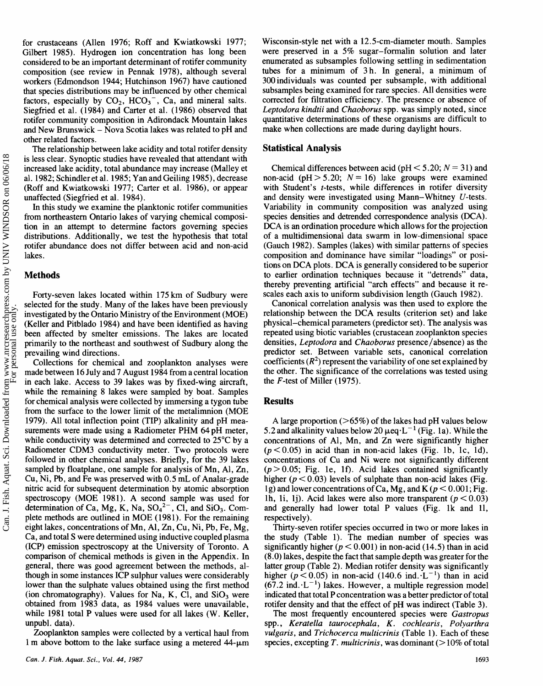for crustaceans (Allen 1976; Roff and Kwiatkowski 1977; Gilbert 1985). Hydrogen ion concentration has long been considered to be an important determinant of rotifer community composition (see review in Pennak 1978), although several workers (Edmondson 1944; Hutchinson 1967) have cautioned that species distributions may be influenced by other chemical factors, especially by  $CO<sub>2</sub>$ ,  $HCO<sub>3</sub><sup>-</sup>$ , Ca, and mineral salts. Siegfried et al. (1984) and Carter et al. (1986) observed that rotifer community composition in Adirondack Mountain lakes and New Brunswick - Nova Scotia lakes was related to pH and other related factors.

The relationship between lake acidity and total rotifer density is less clear. Synoptic studies have revealed that attendant with increased lake acidity, total abundance may increase (Malley et al. 1982; Schindler et al. 1985; Yan and Geiling 1985), decrease (Roff and Kwiatkowski 1977; Carter et al. 1986), or appear unaffected (Siegfried et al. 1984).

In this study we examine the planktonic rotifer communities from northeastern Ontario lakes of varying chemical composition in an attempt to determine factors governing species distributions. Additionally, we test the hypothesis that total rotifer abundance does not differ between acid and non-acid lakes.

#### **Methods**

Can. J. Fish. Aquat. Sci. Downloaded from www.nrcresearchpress.com by UNIV WINDSOR on 06/06/18 Can. J. Fish. Aquat. Sci. Downloaded from www.nrcresearchpress.com by UNIV WINDSOR on 06/06/18<br>For personal use only.

Forty-seven lakes located within 175 km of Sudbury were selected for the study. Many of the lakes have been previously investigated by the Ontario Ministry of the Environment (MOE) (Keller and Pitblado 1984) and have been identified as having been affected by smelter emissions. The lakes are located primarily to the northeast and southwest of Sudbury along the prevailing wind directions.

Collections for chemical and zooplankton analyses were made between 16 July and 7 August 1984 from a central location in each lake. Access to 39 lakes was by fixed-wing aircraft, while the remaining 8 lakes were sampled by boat. Samples for chemical analysis were collected by immersing a tygon tube from the surface to the lower limit of the metalimnion (MOE 1979). All total inflection point (TIP) alkalinity and pH measurements were made using a Radiometer PHM 64 pH meter, while conductivity was determined and corrected to  $25^{\circ}$ C by a Radiometer CDM3 conductivity meter. Two protocols were followed in other chemical analyses. Briefly, for the 39 lakes sampled by floatplane, one sample for analysis of Mn, Al, Zn, Cu, Ni, Pb, and Fe was preserved with 0.5 mL of Analar-grade nitric acid for subsequent determination by atomic absorption spectroscopy (MOE 1981). A second sample was used for determination of Ca, Mg, K, Na,  $SO_4^2$ , Cl, and  $SiO_3$ . Complete methods are outlined in MOE (1981). For the remaining eight lakes, concentrations of Mn, Al, Zn, Cu, Ni, Pb, Fe, Mg, Ca, and total S were determined using inductive coupled plasma (ICP) emission spectroscopy at the University of Toronto. A comparison of chemical methods is given in the Appendix. In general, there was good agreement between the methods, although in some instances ICP sulphur values were considerably lower than the sulphate values obtained using the first method (ion chromatography). Values for Na, K, Cl, and  $SiO<sub>3</sub>$  were obtained from 1983 data, as 1984 values were unavailable, while 1981 total **P** values were used for all lakes (W. Keller, unpubl. data).

Zooplankton samples were collected by a vertical haul from 1 m above bottom to the lake surface using a metered  $44-\mu m$  Wisconsin-style net with a 12.5-cm-diameter mouth. Samples were preserved in a 5% sugar-formalin solution and later enumerated as subsamples following settling in sedimentation tubes for a minimum of 3 h. In general, a minimum of 300 individuals was counted per subsample, with additional subsamples being examined for rare species. All densities were corrected for filtration efficiency. The presence or absence of Leptodora kindtii and Chaoborus spp. was simply noted, since quantitative determinations of these organisms are difficult to make when collections are made during daylight hours.

#### **Statistical Analysis**

Chemical differences between acid ( $pH < 5.20$ ;  $N = 31$ ) and non-acid (pH  $> 5.20$ ;  $N = 16$ ) lake groups were examined with Student's *t*-tests, while differences in rotifer diversity and density were investigated using Mann- Whitney U-tests. Variability in community composition was analyzed using species densities and detrended correspondence analysis (DCA). DCA is an ordination procedure which allows for the projection of a multidimensional data swam in low-dimensional space (Gauch 1982). Samples (lakes) with similar patterns of species composition and dominance have similar "loadings" or positions on DCA plots. DCA is generally considered to be superior to earlier ordination techniques because it "detrends" data, thereby preventing artificial "arch effects" and because it rescales each axis to uniform subdivision length (Gauch 1982).

Canonical correlation analysis was then used to explore the relationship between the DCA results (criterion set) and lake physical-chemical parameters (predictor set). The analysis was repeated using biotic variables (crustacean zooplankton species densities, Leptodora and Chaoborus presence/absence) as the predictor set. Between variable sets, canonical correlation coefficients  $(R^2)$  represent the variability of one set explained by the other. The significance of the correlations was tested using the F-test of Miller (1975).

#### **Results**

A large proportion (>65%) of the lakes had pH values below 5.2 and alkalinity values below 20  $\mu$ eq·L<sup>-1</sup> (Fig. 1a). While the concentrations of Al, Mn, and Zn were significantly higher  $(p<0.05)$  in acid than in non-acid lakes (Fig. 1b, 1c, 1d), concentrations of Cu and Ni were not significantly different  $(p > 0.05;$  Fig. 1e, 1f). Acid lakes contained significantly higher  $(p < 0.03)$  levels of sulphate than non-acid lakes (Fig. 1g) and lower concentrations of Ca, Mg, and K ( $p < 0.001$ ; Fig. lh, li, lj). Acid lakes were also more transparent ( $p < 0.03$ ) and generally had lower total P values (Fig. lk and 11, respectively).

Thirty-seven rotifer species occuned in two or more lakes in the study (Table 1). The median number of species was significantly higher ( $p < 0.001$ ) in non-acid (14.5) than in acid (8.0) lakes, despite the fact that sample depth was greater for the latter group (Table 2). Median rotifer density was significantly higher  $(p < 0.05)$  in non-acid (140.6 ind.  $L^{-1}$ ) than in acid  $(67.2 \text{ ind.} \cdot \text{L}^{-1})$  lakes. However, a multiple regression model indicated that total P concentration was a better predictor of total rotifer density and that the effect of pH was indirect (Table 3).

The most frequently encountered species were Gastropus spp., Keratella taurocephala, K. cochlearis, Polyarthra vulgaris, and Trichocerca multicrinis (Table 1). Each of these species, excepting T. multicrinis, was dominant ( $>10\%$  of total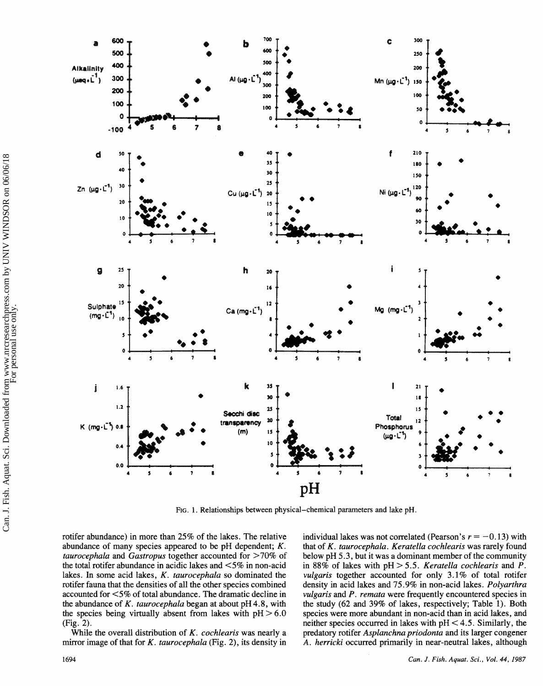

**PIG. 1. Relationships between physical-chemical parameters and lake pH.** 

rotifer abundance) in more than 25% of the lakes. The relative abundance of many species appeared to be pH dependent; *K. taurocephala* and *Gastropus* together accounted for >70% of the total rotifer abundance in acidic lakes and  $\leq 5\%$  in non-acid lakes. In some acid lakes, *K. taurocephala* so dominated the mtifer fauna that the densities of all the other species combined accounted for <5% of total abundance. The dramatic decline in the abundance of *K. taurocephala* began at about pH 4.8, with the species being virtually absent from lakes with  $pH > 6.0$ (Fig. 2).

While the overall distribution of K. *cocklearis* was nearly a mirror image of that for *K. taurocephala* (Fig. 2), its density in individual lakes was not correlated (Pearson's  $r = -0.13$ ) with that of *K. taurocephala. Keratella cochlearis* was rarely found below pH 5.3, but it was a dominant member of the community in 88% of lakes with  $pH > 5.5$ . *Keratella cochlearis* and  $\overrightarrow{P}$ . *vulgaris* together accounted for only 3.1% of total rotifer density in acid lakes and 75.9% in non-acid lakes. *Bolyarthra vdgaris* and *P. remafa* were frequently encountered species in the study (62 and 39% of lakes, respectively; Table **1).** Both species were more abundant in non-acid than in acid lakes, and neither species occurred in lakes with  $pH < 4.5$ . Similarly, the predatory rotifer *Asplanchna priodonta* and its larger congener A. *herricki* occurred primarily in near-neutral lakes, although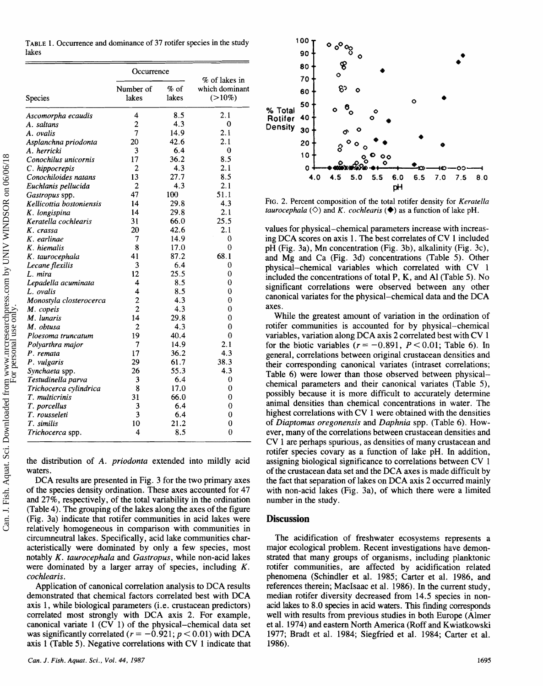**TABLE 1. Occurrence and dominance of** 37 **rotifer species in the study Bakes** 

|                          | Occurrence     |        |                                 |
|--------------------------|----------------|--------|---------------------------------|
|                          | Number of      | $%$ of | % of lakes in<br>which dominant |
| Species                  | lakes          | lakes  | $(>10\%)$                       |
| Ascomorpha ecaudis       | 4              | 8.5    | 2.1                             |
| A. saltans               | $\overline{2}$ | 4.3    | 0                               |
| A. ovalis                | 7              | 14.9   | 2.1                             |
| Asplanchna priodonta     | 20             | 42.6   | 2.1                             |
| A. herricki              | 3              | 6.4    | $\bf{0}$                        |
| Conochilus unicornis     | 17             | 36.2   | 8.5                             |
| C. hippocrepis           | 2              | 4.3    | 2.1                             |
| Conochiloides natans     | 13             | 27.7   | 8.5                             |
| Euchlanis pellucida      | $\overline{c}$ | 4.3    | 2.1                             |
| Gastropus spp.           | 47             | 100    | 51.1                            |
| Kellicottia bostoniensis | 14             | 29.8   | 4.3                             |
| K. longispina            | 14             | 29.8   | 2.1                             |
| Keratella cochlearis     | 31             | 66.0   | 25.5                            |
| K. crassa                | 20             | 42.6   | 2.1                             |
| K. earlinae              | 7              | 14.9   | 0                               |
| K. hiemalis              | 8              | 17.0   | 0                               |
| K. taurocephala          | 41             | 87.2   | 68.1                            |
| Lecane flexilis          | 3              | 6.4    | 0                               |
| L. mira                  | 12             | 25.5   | 0                               |
| Lepadella acuminata      | 4              | 8.5    | 0                               |
| L. ovalis                | 4              | 8.5    | 0                               |
| Monostyla closterocerca  | $\overline{c}$ | 4.3    | 0                               |
| M. copeis                | $\overline{c}$ | 4.3    | 0                               |
| M. lunaris               | 14             | 29.8   | 0                               |
| M. obtusa                | 2              | 4.3    | 0                               |
| Ploesoma truncatum       | 19             | 40.4   | $\bf{0}$                        |
| Polyarthra major         | 7              | 14.9   | 2.1                             |
| P. remata                | 17             | 36.2   | 4.3                             |
| P. vulgaris              | 29             | 61.7   | 38.3                            |
| Synchaeta spp.           | 26             | 55.3   | 4.3                             |
| Testudinella parva       | 3              | 6.4    | 0                               |
| Trichocerca cylindrica   | 8              | 17.0   | 0                               |
| T. multicrinis           | 31             | 66.0   | 0                               |
| T. porcellus             | 3              | 6.4    | 0                               |
| T. rousseleti            | 3              | 6.4    | 0                               |
| T. similis               | 10             | 21.2   | 0                               |
| Trichocerca spp.         | 4              | 8.5    | 0                               |

the distribution of A. priodonta extended into mildly acid waters.

DCA results are presented in Fig. 3 for the two primary axes of the species density ordination. These axes accounted for 47 and 27%, respectively, of the total variability in the ordination (Table 4). The grouping of the lakes along the axes of the figure (Fig. 3a) indicate that rotifer communities in acid lakes were relatively homogeneous in comparison with communities in circumneutral lakes. Specifically, acid lake communities characteristically were dominated by only a few species, most notably  $K$ . taurocephala and Gastropus, while non-acid lakes were dominated by a larger array of species, including  $K$ . cochlearis.

Application of canonical correlation analysis to DCA results demonstrated that chemical factors correlated best with DCA axis **I,** while biological parameters (i.e. crustacean predictors) correlated most strongly with BCA axis 2. For example, canonical variate **1** (CV 1) of the physicd-chemical data set was significantly correlated  $(r = -0.921; p < 0.01)$  with DCA axis **1** (Table 5). Negative correlations with CV **1** indicate that



FIG. 2. Percent composition of the total rotifer density for *Keratella taurocephala*  $(\Diamond)$  and *K. cochlearis*  $(\Diamond)$  as a function of lake pH.

values for physical-chemical parameters increase with increasing DCA scores on axis 1. The best correlates of CV 1 included pH (Fig. 3a), Mn concentration (Fig. 3b), alkalinity (Fig. 3c), and Mg and Ca (Fig. 3d) concentrations (Table 5). Other physical-chemical variables which correlated with CV 1 included the concentrations of total **P,** K, and A1 (Table 5). No significant correlations were observed between any other canonical variates for the physical-chemical data and the DCA axes.

While the greatest amount of variation in the ordination of rotifer communities is accounted for by physical-chemical variables, variation along DCA axis 2 correlated best with CV 1 for the biotic variables  $(r = -0.891, P < 0.01$ ; Table 6). In general, correlations between original crustacean densities and their corresponding canonical variates (intraset correlations; Table 6) were lower than those observed between physicalchemical parameters and their canonical variates (Table 5), possibly because it is more difficult to accurately determine animal densities than chemical concentrations in water. The highest correlations with  $CV_1$  were obtained with the densities of Diaptomus oregonensis and Daphnia spp. (Table 6). However, many of the correlations between crustacean densities and CV 1 **are** perhaps spurious, as densities of many crustacean and rotifer species covary as a function of lake pH. In addition, assigning biological significance to correlations between CV 1 of the cmstacean data set and the DCA axes is made difficult by the fact that separation of lakes on DCA axis 2 occurred mainly with non-acid lakes (Fig. 3a), of which there were a limited number in the study.

#### **Discussion**

The acidification of freshwater ecosystems represents a major ecological problem. Recent investigations have demonstrated that many groups of organisms, including planktonic rotifer communities, are affected by acidification related phenomena (Schindler et al. 1985; Carter et al. 1986, and references therein; MacIsaac et al. 1986). In the current study, median rotifer diversity decreased from 14.5 species in nonacid lakes to 8.0 species in acid waters. This finding corresponds well with results from previous studies in both Europe (Almer et al. 1974) and eastern North America (Roff and Kwiatkowski 1977; Bradt et **d.** 1984; Siegfried et a1. 1984; Cater et al. 1986).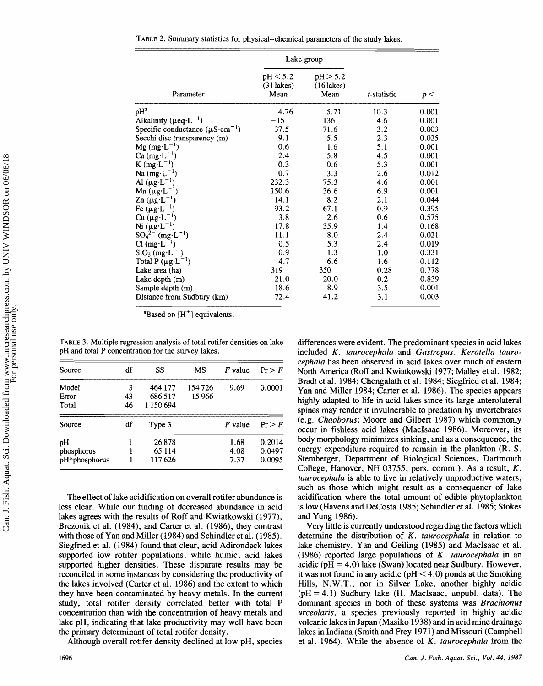**TABLE 2. Summary statistics** for **physical-chemical parameters of the study lakes.** 

|                                                | Lake group                       |                                  |             |       |
|------------------------------------------------|----------------------------------|----------------------------------|-------------|-------|
| Parameter                                      | pH < 5.2<br>$(31$ lakes)<br>Mean | pH > 5.2<br>$(16$ lakes)<br>Mean | t-statistic | p<    |
| pHª                                            | 4.76                             | 5.71                             | 10.3        | 0.001 |
| Alkalinity ( $\mu$ eq·L <sup>-1</sup> )        | $-15$                            | 136                              | 4.6         | 0.001 |
| Specific conductance $(\mu S \cdot cm^{-1})$   | 37.5                             | 71.6                             | 3.2         | 0.003 |
| Secchi disc transparency (m)                   | 9.1                              | 5.5                              | 2.3         | 0.025 |
| $Mg$ (mg·L <sup>-1</sup> )                     | 0.6                              | 1.6                              | 5.1         | 0.001 |
| $Ca \, (mg \cdot L^{-1})$                      | 2.4                              | 5.8                              | 4.5         | 0.001 |
| K $(mg \cdot L^{-1})$                          | 0.3                              | 0.6                              | 5.3         | 0.001 |
| Na $(mg \cdot L^{-1})$                         | 0.7                              | 3.3                              | 2.6         | 0.012 |
| Al $(\mu g \cdot L^{-1})$                      | 232.3                            | 75.3                             | 4.6         | 0.001 |
| Mn $(\mu g \cdot L^{-1})$                      | 150.6                            | 36.6                             | 6.9         | 0.001 |
| $\text{Zn }(\mu \text{g} \cdot \text{L}^{-1})$ | 14.1                             | 8.2                              | 2.1         | 0.044 |
| Fe $(\mu g \cdot L^{-1})$                      | 93.2                             | 67.1                             | 0.9         | 0.395 |
| $Cu$ $(\mu g \cdot L^{-1})$                    | 3.8                              | 2.6                              | 0.6         | 0.575 |
| Ni $(\mu g \cdot L^{-1})$                      | 17.8                             | 35.9                             | 1.4         | 0.168 |
| $SO_4^{2-}$ (mg·L <sup>-1</sup> )              | 11.1                             | 8.0                              | 2.4         | 0.021 |
| $Cl(mg \cdot L^{-1})$                          | 0.5                              | 5.3                              | 2.4         | 0.019 |
| $SiO3$ (mg·L <sup>-1</sup> )                   | 0.9                              | 1.3                              | 1.0         | 0.331 |
| Total P $(\mu g \cdot L^{-1})$                 | 4.7                              | 6.6                              | 1.6         | 0.112 |
| Lake area (ha)                                 | 319                              | 350                              | 0.28        | 0.778 |
| Lake depth (m)                                 | 21.0                             | 20.0                             | 0.2         | 0.839 |
| Sample depth (m)                               | 18.6                             | 8.9                              | 3.5         | 0.001 |
| Distance from Sudbury (km)                     | 72.4                             | 41.2                             | 3.1         | 0.003 |

**"Based on [H'] equivalents.** 

| Source        | df | SS      | MS     | $F$ value | Pr > F |
|---------------|----|---------|--------|-----------|--------|
| Model         | 3  | 464 177 | 154726 | 9.69      | 0.0001 |
| Error         | 43 | 686 517 | 15 966 |           |        |
| Total         | 46 | 1150694 |        |           |        |
| Source        | df | Type 3  |        | F value   | Pr > F |
| pH            |    | 26878   |        | 1.68      | 0.2014 |
| phosphorus    |    | 65 1 14 |        | 4.08      | 0.0497 |
| pH*phosphorus |    | 117626  |        | 7.37      | 0.0095 |

The effect of lake acidification on overall rotifer abundance is less clear. While our finding of decreased abundance in acid lakes agrees with the results of Roff and Kwiatkowski (1977), Brezonik et **d.** (1984), and Carter et al. (1986), they contrast with those of Yan and Miller (1984) **and** Schindler et al. (1985). Siegfried et al. (1984) found that clear, acid Adirondack lakes supported low rotifer populations, while humic, acid lakes supported higher densities. These disparate results may be reconciled in some instances by considering the productivity of the lakes involved (Carter et **d.** 1986) and the extent to which they have hen contaminated by heavy metals. In the current study, total rotifer density correlated better with total **P**  concentration than with the concentration of heavy metals and lake pH, indicating that lake productivity may well have been the primary determinant of total rotifer density.

Although overall rotifer density declined at low pH, species

**TABLE 3. Multiple regression analysis of total rotifer densities on lake** differences were evident. The predominant species in acid lakes **included** *K. taurocephala* and *Gastropus. Keratella taurocephala* has been observed in acid lakes over much of eastern **Source df SS MS** *F* **value fi** > *F* North America (Roff and Kwiatkowski 1977; Mdley et **d.** 1982; Bradt et al. 1984; Chengalath et al. 1984; Siegfried et al. 1984; Yan and Miller 1984; Carter et al. 1986). The species appears highly adapted to life in acid lakes since its large anterolateral spines may render it invulnerable to predation by invertebrates **(e.g.** *Chaoboms;* Moore and Gilbert 1987) which commonly occur in fishless acid lakes (MacIsaac 1986). Moreover, its body morphology minimizes sinking, and as a consequence, the energy expenditure required to remain in the plankton (R. S. Stemberger, Department of Biological Sciences, Dartmouth College, Hanover, NH 03755, pers. comm.). As a result, *K. taurocephala* is able to live in relatively unproductive waters, such as those which might result as a consequencr of lake acidification where the total amount of edible phytoplankton is low (Havens and BeCosta 1985; Schindler et al. 1985; Stokes and Yung 1986).

Very little is currently understood regarding the factors which determine the distribution of K. *taurocephala* in relation to lake chemistry. Yan and Geiling (1985) and Macfsaac et al. (1986) reported large populations of K. *taurscephala* in an acidic ( $pH = 4.0$ ) lake (Swan) located near Sudbury. However, it was not found in any acidic ( $pH < 4.0$ ) ponds at the Smoking Hills, N.W.T., nor in Silver Lake, another highly acidic  $(pH = 4.1)$  Sudbury lake (H. MacIsaac, unpubl. data). The dominant species in both of these systems was *Brachisnus urceolaris,* a species previously reported in highly acidic volcanic lakes in Japan (Masiko 1938) and in acid mine drainage lakes in Indiana (Smith and Frey 1971) and Missouri (Campbell et al. 1964). While the absence of K. taurocephala from the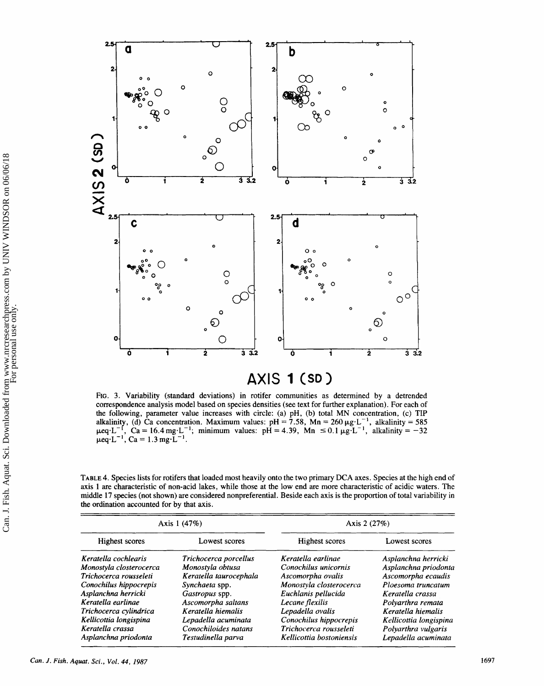

FIG. 3. Variability (standard deviations) in rotifer communities as determined by a detrended correspondence analysis model based on species densities (see text for further explanation). For each of the following, parameter value increases with circle: (a) pH, (b) total MN concentration, (c) **TIP**  alkalinity, (d) Ca concentration. Maximum values:  $pH = 7.58$ ,  $Mn = 260 \mu g \cdot L^{-1}$ , alkalinity = 585  $\mu eq \cdot L^{-1}$ ,  $Ca = 16.4 \text{ mg} \cdot L^{-1}$ ; minimum values:  $pH = 4.39$ ,  $Mn \le 0.1 \mu g \cdot L^{-1}$ , alkalinity = -32  $\mu$ eq·L<sup>-1</sup>, Ca = 1.3 mg·L<sup>-1</sup>.

**TABLE** 4. Species lists for rotifers that loaded most heavily onto the two primary DCA axes. Species at the high end of axis **1** are characteristic of non-acid lakes, while those at the low end are more characteristic of acidic waters. The middle 17 species (not shown) are considered nonpreferential. Beside each axis is the proportion of total variability in the ordination accounted for by that axis.

|                         | Axis 1 (47%)           | Axis 2 $(27%)$           |                        |  |
|-------------------------|------------------------|--------------------------|------------------------|--|
| Highest scores          | Lowest scores          | Highest scores           | Lowest scores          |  |
| Keratella cochlearis    | Trichocerca porcellus  | Keratella earlinae       | Asplanchna herricki    |  |
| Monostyla closterocerca | Monostyla obtusa       | Conochilus unicornis     | Asplanchna priodonta   |  |
| Trichocerca rousseleti  | Keratella taurocephala | Ascomorpha ovalis        | Ascomorpha ecaudis     |  |
| Conochilus hippocrepis  | Synchaeta spp.         | Monostyla closterocerca  | Ploesoma truncatum     |  |
| Asplanchna herricki     | Gastropus spp.         | Euchlanis pellucida      | Keratella crassa       |  |
| Keratella earlinge      | Ascomorpha saltans     | Lecane flexilis          | Polvarthra remata      |  |
| Trichocerca cylindrica  | Keratella hiemalis     | Lepadella ovalis         | Keratella hiemalis     |  |
| Kellicottia longispina  | Lepadella acuminata    | Conochilus hippocrepis   | Kellicottia longispina |  |
| Keratella crassa        | Conochiloides natans   | Trichocerca rousseleti   | Polyarthra vulgaris    |  |
| Asplanchna priodonta    | Testudinella parva     | Kellicottia bostoniensis | Lepadella acuminata    |  |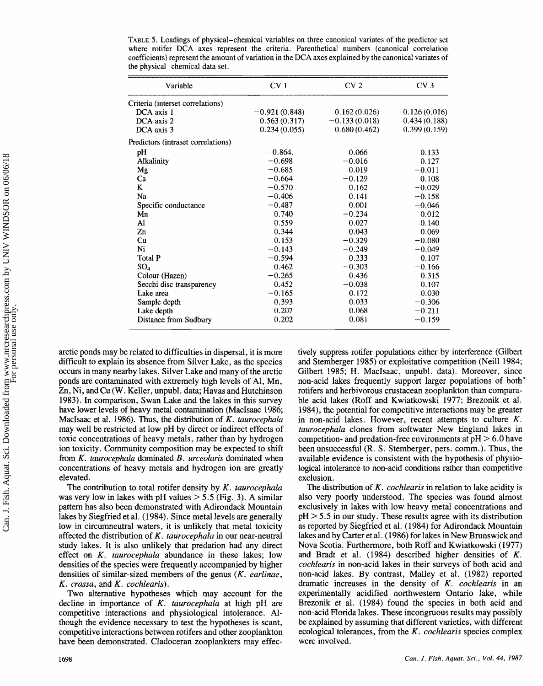| Variable                           | CV <sub>1</sub> | CV <sub>2</sub> | CV <sub>3</sub> |  |
|------------------------------------|-----------------|-----------------|-----------------|--|
| Criteria (interset correlations)   |                 |                 |                 |  |
| DCA axis 1                         | $-0.921(0.848)$ | 0.162(0.026)    | 0.126(0.016)    |  |
| DCA axis 2                         | 0.563(0.317)    | $-0.133(0.018)$ | 0.434(0.188)    |  |
| DCA axis 3                         | 0.234(0.055)    | 0.680(0.462)    | 0.399(0.159)    |  |
| Predictors (intraset correlations) |                 |                 |                 |  |
| pH                                 | $-0.864.$       | 0.066           | 0.133           |  |
| <b>Alkalinity</b>                  | $-0.698$        | $-0.016$        | 0.127           |  |
| Mg                                 | $-0.685$        | 0.019           | $-0.011$        |  |
| Ca                                 | $-0.664$        | $-0.129$        | 0.108           |  |
| K                                  | $-0.570$        | 0.162           | $-0.029$        |  |
| Na                                 | $-0.406$        | 0.141           | $-0.158$        |  |
| Specific conductance               | $-0.487$        | 0.001           | $-0.046$        |  |
| Mn                                 | 0.740           | $-0.234$        | 0.012           |  |
| Al                                 | 0.559           | 0.027           | 0.140           |  |
| Zn                                 | 0.344           | 0.043           | 0.069           |  |
| Cu                                 | 0.153           | $-0.329$        | $-0.080$        |  |
| Ni                                 | $-0.143$        | $-0.249$        | $-0.049$        |  |
| Total P                            | $-0.594$        | 0.233           | 0.107           |  |
| SO <sub>4</sub>                    | 0.462           | $-0.303$        | $-0.166$        |  |
| Colour (Hazen)                     | $-0.265$        | 0.436           | 0.315           |  |
| Secchi disc transparency           | 0.452           | $-0.038$        | 0.107           |  |
| Lake area                          | $-0.165$        | 0.172           | 0.030           |  |
| Sample depth                       | 0.393           | 0.033           | $-0.306$        |  |
| Lake depth                         | 0.207           | 0.068           | $-0.211$        |  |
| Distance from Sudbury              | 0.202           | 0.081           | $-0.159$        |  |

**TABLE 5. Loadings of physical-chemical variables on three canonical variates of the predictor set**  where rotifer DCA axes represent the criteria. Parenthetical numbers (canonical correlation coefficients) represent the amount of variation in the DCA axes explained by the canonical variates of the physical-chemical data set.

arctic ponds may be related to difficulties in dispersal, it is more difficult to explain its absence from Silver Lake, as the species occurs in many nearby lakes. Silver Lake and many of the arctic ponds are contaminated with extremely high levels of Al, Mn, Zn, Ni, and Cu (W. Keller, unpubl. data; Havas and Hutchinson 1983). In comparison, Swan Lake and the lakes in this survey have lower levels of heavy metal contamination (MacIsaac 1986; MacIsaac et al. 1986). Thus, the distribution of K. taurocephala may well be restricted at low pH by direct or indirect effects of toxic concentrations of heavy metals, rather than by hydrogen ion toxicity. Community composition may be expected to shift from *K. taurocephala* dominated *B. urceolaris* dominated when concentrations of heavy metals and hydrogen ion are greatly elevated.

The contribution to total rotifer density by  $K$ . taurocephala was very low in lakes with  $pH$  values  $> 5.5$  (Fig. 3). A similar pattern has also been demonstrated with Adirondack Mountain lakes by Siegfried et al. (1984). Since metal levels are generally low in circumneutral waters, it is unlikely that metal toxicity affected the distribution of  $K$ . taurocephala in our near-neutral study lakes. It is also unlikely that predation had any direct effect on  $K$ . taurocephala abundance in these lakes; low densities of the species were frequently accompanied by higher densities of similar-sized members of the genus *(K.* earlinae,  $K.$  crassa, and  $K.$  cochlearis).

Two alternative hypotheses which may account for the decline in importance of K. taurocephala at high pH are competitive interactions and physiological intolerance. **A**though the evidence necessary to test the hypotheses is scant, competitive interactions between rotifers and other zooplankton have been demonstrated. Cladoceran zooplankters may effectively suppress rotifer populations either by interference (Gilbert and Stemberger 1985) or exploitative competition (Neill 1984; Gilbert 1985; H. MacIsaac, unpubl. data). Moreover, since non-acid lakes frequently support larger populations of both rotifers md herbivorous crustacean zooplankton than comparable acid lakes (Roff and Kwiatkowski 1977; Brezonik et al. **1984),** the potential for competitive interactions may be greater in non-acid lakes. However, recent attempts to culture *K*. taurocephala clones from softwater New England lakes in competition- and predation-free environments at  $pH > 6.0$  have been unsuccessful (R. S. Stemberger, pers. comm.). Thus, the available evidence is consistent with the hypothesis of physiological intolerance to non-acid conditions rather than competitive exclusion.

The distribution of K. *cochlearis* in relation to lake acidity is also very poorly understood. The species was found almost exclusively in lakes with low heavy metal concentrations and  $pH > 5.5$  in our study. These results agree with its distribution as reported by Siegfried et al. (1984) for Adirondack Mountain lakes and by Carter et al. (1986) for lakes in New Brunswick and Nova Scotia. Furthermore, both Roff and Kwiatkowski (1977) and Bradt et al. (1984) described higher densities of K. cochlearis in non-acid lakes in their surveys of both acid and non-acid lakes. By contrast, Malley et al. (1982) reported dramatic increases in the density of  $K$ . cochlearis in an experimentally acidified northwestern Ontario lake, while Brezonik et al. (1984) found the species in both acid and non-acid Florida lakes. These incongruous results may possibly **be** explained by assuming that different varieties, with different ecological tolerances, from the K. cochlearis species complex were involved.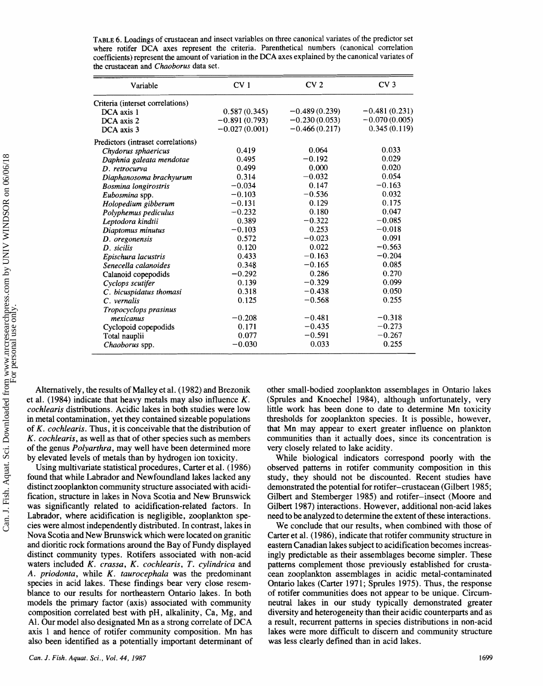| Variable                           | CV <sub>1</sub> | CV <sub>2</sub> | CV <sub>3</sub> |  |
|------------------------------------|-----------------|-----------------|-----------------|--|
| Criteria (interset correlations)   |                 |                 |                 |  |
| DCA axis 1                         | 0.587(0.345)    | $-0.489(0.239)$ | $-0.481(0.231)$ |  |
| DCA axis 2                         | $-0.891(0.793)$ | $-0.230(0.053)$ | $-0.070(0.005)$ |  |
| DCA axis 3                         | $-0.027(0.001)$ | $-0.466(0.217)$ | 0.345(0.119)    |  |
| Predictors (intraset correlations) |                 |                 |                 |  |
| Chydorus sphaericus                | 0.419           | 0.064           | 0.033           |  |
| Daphnia galeata mendotae           | 0.495           | $-0.192$        | 0.029           |  |
| D. retrocurva                      | 0.499           | 0.000           | 0.020           |  |
| Diaphanosoma brachyurum            | 0.314           | $-0.032$        | 0.054           |  |
| <b>Bosmina longirostris</b>        | $-0.034$        | 0.147           | $-0.163$        |  |
| Eubosmina spp.                     | $-0.103$        | $-0.536$        | 0.032           |  |
| Holopedium gibberum                | $-0.131$        | 0.129           | 0.175           |  |
| Polyphemus pediculus               | $-0.232$        | 0.180           | 0.047           |  |
| Leptodora kindtii                  | 0.389           | $-0.322$        | $-0.085$        |  |
| Diaptomus minutus                  | $-0.103$        | 0.253           | $-0.018$        |  |
| D. oregonensis                     | 0.572           | $-0.023$        | 0.091           |  |
| D. sicilis                         | 0.120           | 0.022           | $-0.563$        |  |
| Epischura lacustris                | 0.433           | $-0.163$        | $-0.204$        |  |
| Senecella calanoides               | 0.348           | $-0.165$        | 0.085           |  |
| Calanoid copepodids                | $-0.292$        | 0.286           | 0.270           |  |
| Cyclops scutifer                   | 0.139           | $-0.329$        | 0.099           |  |
| C. bicuspidatus thomasi            | 0.318           | $-0.438$        | 0.050           |  |
| C. vernalis                        | 0.125           | $-0.568$        | 0.255           |  |
| Tropocyclops prasinus              |                 |                 |                 |  |
| mexicanus                          | $-0.208$        | $-0.481$        | $-0.318$        |  |
| Cyclopoid copepodids               | 0.171           | $-0.435$        | $-0.273$        |  |
| Total nauplii                      | 0.077           | $-0.591$        | $-0.267$        |  |
| Chaoborus spp.                     | $-0.030$        | 0.033           | 0.255           |  |

TABLE 6. Loadings of crustacean and insect variables on three canonical variates of the predictor set where rotifer DCA axes represent the criteria. Parenthetical numbers (canonical correlation coefficients) represent the amount of variation in the DCA axes explained by the canonical variates of the crustacean and Chaoborus data set.

Alternatively, the results of Malley et al. (1982) and Brezonik et al. (1984) indicate that heavy metals may also influence  $K$ . *cochlearis* distributions. Acidic lakes in both studies were low in metal contamination, yet they contained sizeable populations of K. cochlearis. Thus, it is conceivable that the distribution of K. cochlearis, as well as that of other species such as members of the genus *Polyarthra*, may well have been determined more by elevated levels of metals than by hydrogen ion toxicity.

Using multivariate statistical procedures, Carter et al. (1986) found that while Labrador and Newfoundland lakes lacked any distinct zooplankton community structure associated with acidification, structure in lakes in Nova Scotia and New Brunswick was significantly related to acidification-related factors. In Labrador, where acidification is negligible, zooplankton species were almost independently distributed. In contrast, lakes in Nova Scotia and New Brunswick which were located on granitic and dioritic rock formations around the Bay of Fundy displayed distinct community types. Rotifers associated with non-acid waters included K. crassa, K. cochlearis, T. cylindrica and A. priodonta, while K. taurocephala was the predominant species in acid lakes. These findings bear very close resemblance to our results for northeastern Ontario lakes. In both models the primary factor (axis) associated with community composition correlated best with pH, alkalinity, Ca, Mg, and Al. Our model also designated Mn as a strong correlate of DCA axis 1 and hence of rotifer community composition. Mn has also been identified as a potentially important determinant of other small-bodied zooplankton assemblages in Ontario lakes (Sprules and Knoechel 1984), although unfortunately, very little work has been done to date to determine Mn toxicity thresholds for zooplankton species. It is possible, however, that Mn may appear to exert greater influence on plankton communities than it actually does, since its concentration is very closely related to lake acidity.

While biological indicators correspond poorly with the observed patterns in rotifer community composition in this study, they should not be discounted. Recent studies have demonstrated the potential for rotifer-crustacean (Gilbert 1985; Gilbert and Stemberger 1985) and rotifer-insect (Moore and Gilbert 1987) interactions. However, additional non-acid lakes need to be analyzed to determine the extent of these interactions.

We conclude that our results, when combined with those of Carter et al. (1986), indicate that rotifer community structure in eastern Canadian lakes subject to acidification becomes increasingly predictable as their assemblages become simpler. These patterns complement those previously established for crustacean zooplankton assemblages in acidic metal-contaminated Ontario lakes (Carter 1971; Sprules 1975). Thus, the response of rotifer communities does not appear to be unique. Circumneutral lakes in our study typically demonstrated greater diversity and heterogeneity than their acidic counterparts and as a result, recurrent patterns in species distributions in non-acid lakes were more difficult to discern and community structure was less clearly defined than in acid lakes.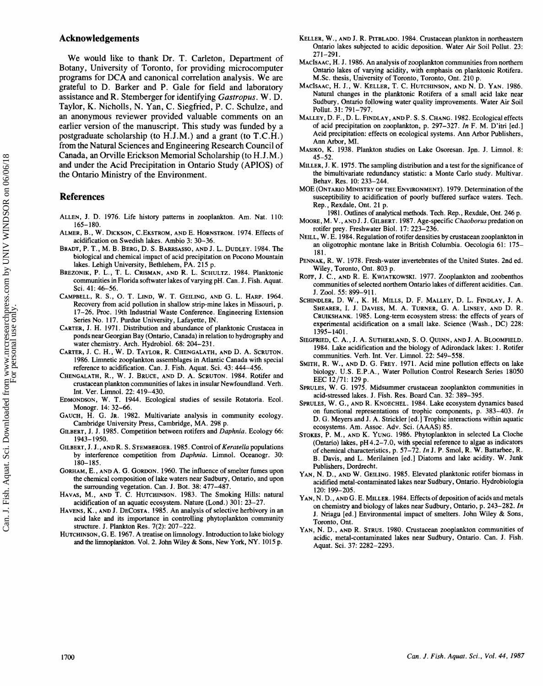### **Acknowledgements**

We would like to thank Dr. T. Carleton, Department of Botany, University of Toronto, for providing microcomputer programs for BCA and canonical correlation analysis. We are grateful to B. Barker and P. Gale for field and laboratory assistance and R. Stemberger for identifying *Gastropus.* W. D. Taylor, **K.** Nicholls, N. **Ym, C.** Siegfried, **B.** C. Schulze, and an anonymous reviewer provided valuable comments on an earlier version of the manuscript. This study was funded by a postgraduate scholarship (to H.J.M.) and a grant (to T.C.M.) from the Natural Sciences and Engineering Research Council of Canada, **an** Orville Erickson Memorial Scholarship (to **H.J.M.)**  and under the Acid Precipitation in Ontario Study (APIOS) of the Ontario Ministry of the Environment.

## **References**

- ALLEN, J. D. 1976. Life history patterns in zooplankton. Am. Nat. 110: 165-188.
- ALMER, B., W. DICKSON, C.EKSTROM, AND E. HORNSTROM. 1974. Effects of acidification on Swedish I&es. Ambio 3: 30-36.
- BRADT, P. T., M. B. BERG, D. S. BARRSASSO, AND J. L. DUDLEY. 1984. The biological and chemical impact of acid precipitation on Pocono Mountain lakes. Lehigh University, Bethlehem, PA. 215 p.
- BREZONIK, P. L., T. L. CRISMAN, AND R. L. SCHULTZ. 1984. Planktonic communities in Florida softwater lakes of varying pH. Can. J. Fish. Aquat. Sci. 41: 46-56.
- CAMPBELL, **R.** S., 0. T. LIND, **W,** T. GEHLING, AND *G.* L. HARP. 1964. Recovery from acid pollution in shallow strip-mine lakes in Missouri, p. 17-26. Proc. 19th Industrial Waste Conference. Engineering Extension Series No. 117. Purdue University, Lafayette, IN.
- CARTER, J.H. 1971. Distribution and abundance of planktonic Cmstacea in ponds near Georgian Bay (Ontario, Canada) in relation to hydrography and
- water chemistry. Arch. Hydrobiol. 68: 204-231. CARTER, J.C. **H.,** W. D. TAYLOR, **R.** CHENGALATN, AND D. A. SCRUTON. 1986. Limetic zooplankton assemblages in Atlantic Canada with special reference to acidification. Can. **5.** Fish. Aquat. Sci. 43: 444-456.
- CHENGALATH, R., W. J. BRUCE, AND D. A. SCRUTON. 1984. Rotifer and crustacean plankton communities of lakes in insular Newfoundland. Verb. Int. Ver. Limol. 22: 419-430.
- EDMONDSON, W. T. 1944. Ecological studies of sessile Rotatoria. Ecol. Monogr. 14: 32-66.
- GAUCH, H. G. JR. 1982. Multivariate analysis in community ecology. Cambridge University Press, Cambridge, MA. 298 p.
- GILBERT, J.J. 1985. Competition between rotifas and *Daphnia.* Ecology 66: 1943-1950.
- GILBERT, J.J., AND **R.** S. STEMBERGER. 1985. Control of *Keratella* populations by interference competition from *Daphnia*. Limnol. Oceanogr. 30: 180-185.
- GORHAM, E., AND A. G. GORDON. 1960. The influence of smelter fumes upon the chemical composition of lake waters near Sudbury, Ontario, md upon the surrounding vegetation. Can. J. Bot. 38: 477-487.
- HAVAS, M., AND T. C. HUTCHINSON. 1983. The Smoking Hills: natural acidification of an aquatic ecosystem. Nature (Lond.) 301: 23-27.
- HAVENS, K., AND J. DECOSTA. 1985. An analysis of selective herbivory in an acid lake and its importance in controlling phytoplankton community structure. **d.** Plankton Res. 7(2): 207-222.
- HUTCHINSON, G. E. 1967. A treatise on limnology. Introduction to lake biology and the limnoplankton. Vol. 2. John Wiley & Sons, New York, NY. 1015 p.
- KELLER, W., AND J. R. PITBLADO. 1984. Crustacean plankton in northeastern Ontario lakes subjected to acidic deposition. Water Air Soil Pollut. 23: 271-291.
- MACISAAC, H. J. 1986. An analysis of zooplankton communities from northern Ontario lakes of varying acidity, with emphasis on planktonic Rotifera. M.Sc. thesis, University of Toronto, Toronto, Ont. 210 p.
- MACISAAC, H.J., **W.** KELLER, T. C. HUTCHINSON, AND N. D. YAN. 1986. Natural changes in the plamktonic Rotifera of a small acid lake near Sudbury, Ontario following water quality improvements. Water Air Soil Pollut. 31: 791-797.
- MALLEY, D. F., D. L. FINDLAY, ANDP. S, S. CHANG. 1982. Ecological effects of acid precipitation on zooplankton, p. 297-327. *In* F. M. D'itri [ed.] Acid precipitation: effects on ecological systems. Ann Arbor Publishers, Ann Arbor, MI,
- MASIKO, K. 1938. Plankton studies on Lake Osoresan. Jpn. J. Limnol. 8: 45-52.
- MILLER, **B.** K. 1975. The sampling distribution and a test for the significance of the himultivariate redundancy statistic: a Monte Carlo study. Multivar. Behav. Res. 10: 233-244.
- MOE (ONTARIO MINISTRY OF THE ENVIRONMENT). 1979. Determination of the susceptibility to acidification of poorly buffered surface waters. Tech. Rep., Rexdale, Ont. 21 p.
- 1981. Outlines of analytical methods. Tech. Rep., Rexdale, Ont. 246 p. MOORE, M. V., AND J. J. GILBERT. 1987. Age-specific *Chasborus* predation on rotifer prey. Freshwater Bid, 17: 223-236.
- NEILL, W. E. 1984. Regulation of rotifer densities by crustacean zooplankton in **m** oligotrophic montane lake in British Columbia. Oecologia 61: 175- 181.
- PENNAK, R. W. 1978. Fresh-water invertebrates of the United States. 2nd ed. Wiley, Toronto, Ont. 803 p.
- ROFF, J. C., AND R. E. KWIATKOWSKI. 1977. Zooplankton and zoobenthos communities of selected northern Ontario lakes of different acidities. Can. J. Zool. 55: 899-911.
- SCHHNDLER, **D.** W., **K.** H. MILLS, **5,** F. MALLEY, D. **L.** FINDLAY, J.A. SHEARER, **1,** J. DAVIES, M. A. TURNER, G. A. LINSEY, AND D. **R.**  CRUIKSHANK. 19\$5. Long-term ecosystem stress: the effects of years of experimental acidification on a small lake. Science (Wash., DC) 228: 1395-1401.
- SIEGFRIED, C. A., J. A. SUTHERLAND, S. O. QUINN, AND J. A. BLOOMFIELD. 1984. Lake acidification and the biology of Adirondack lakes: 1. Rotifer communities. Verh. Int, Ver. Limol. 22: 549-558.
- **SMITH,** R. W., AND D. 6. FREY. 1971. Acid mine pollution effects on lake biology. U.S. E.P.A., Water Pollution Control Research Series 18050 EEC 12/71: 129 p.
- SPRULES, W. G. 1975. Midsummer crustacean zooplankton communities in acid-stressed lakes. J. Fish. Res. Board Can. 32: 389-395.
- SPRULES, W. G., AND R. KNOECHEL. 1984. Lake ecosystem dynamics based on functional representations of trophic compnents, p. 383-403. *In*  D. *G.* Meyers and J. A. Strickler [ed.] Trophic interactions within aquatic ecosystems, Am. Assoc. Adv. Sci. (AAAS) 85.
- STOKES, P. M., AND K. YUNG. 1986. PhytopIankton in selected La Cloche (Ontario) lakes, pH 4.2-7.0, with special reference to algae as indicators of chemical characteristics, p. 57-72. *In* J. P. Smol, R. W. Battarbee, W. B. Davis, **md L.** Merilainen [ed.] Diatoms and lake acidity. W. Junk Publishers, Dordrecht.
- YAN, N. D., AND W. GEILING. 1985. Elevated planktonic rotifer biomass in acidified metal-contaminated lakes near Sudbury , Ontario. Mydrobiologia 120: 199-205.
- YAN, N. D., AND G. E. MILLER. 1984. Effects of deposition of acids and metals on chemistry and biology of lakes near Sudbury, Ontario, p. 243-282. *In*  **J.** Nriagu [ed.] Environmental impact of smelters. John Wiley & Sons, Toronto, Ont.
- YAN, N. D., AND R. STRUS. 1980. Crustacean zooplankton communities of acidic, metal-contaminated lakes near Suddury, Ontario. Can. **J.** Fish. Aquat. Sci. 37: 2282-2293.